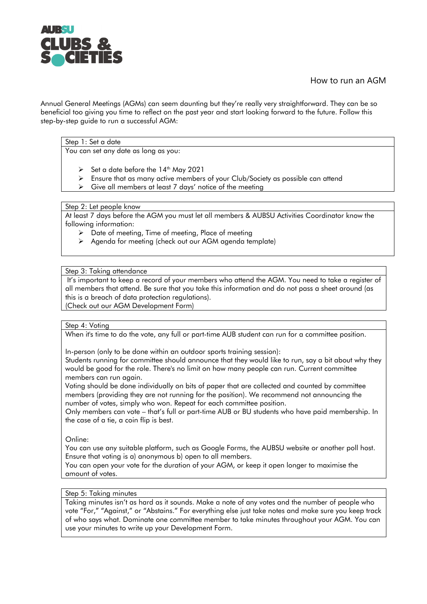

# How to run an AGM

Annual General Meetings (AGMs) can seem daunting but they're really very straightforward. They can be so beneficial too giving you time to reflect on the past year and start looking forward to the future. Follow this step-by-step guide to run a successful AGM:

## Step 1: Set a date

You can set any date as long as you:

- $\triangleright$  Set a date before the 14<sup>th</sup> May 2021
- Ensure that as many active members of your Club/Society as possible can attend
- $\triangleright$  Give all members at least 7 days' notice of the meeting

#### Step 2: Let people know

At least 7 days before the AGM you must let all members & AUBSU Activities Coordinator know the following information:

- $\triangleright$  Date of meeting, Time of meeting, Place of meeting
- Agenda for meeting (check out our AGM agenda template)

## Step 3: Taking attendance

It's important to keep a record of your members who attend the AGM. You need to take a register of all members that attend. Be sure that you take this information and do not pass a sheet around (as this is a breach of data protection regulations).

(Check out our AGM Development Form)

### Step 4: Voting

When it's time to do the vote, any full or part-time AUB student can run for a committee position.

In-person (only to be done within an outdoor sports training session):

Students running for committee should announce that they would like to run, say a bit about why they would be good for the role. There's no limit on how many people can run. Current committee members can run again.

Voting should be done individually on bits of paper that are collected and counted by committee members (providing they are not running for the position). We recommend not announcing the number of votes, simply who won. Repeat for each committee position.

Only members can vote – that's full or part-time AUB or BU students who have paid membership. In the case of a tie, a coin flip is best.

Online:

You can use any suitable platform, such as Google Forms, the AUBSU website or another poll host. Ensure that voting is a) anonymous b) open to all members.

You can open your vote for the duration of your AGM, or keep it open longer to maximise the amount of votes.

### Step 5: Taking minutes

Taking minutes isn't as hard as it sounds. Make a note of any votes and the number of people who vote "For," "Against," or "Abstains." For everything else just take notes and make sure you keep track of who says what. Dominate one committee member to take minutes throughout your AGM. You can use your minutes to write up your Development Form.